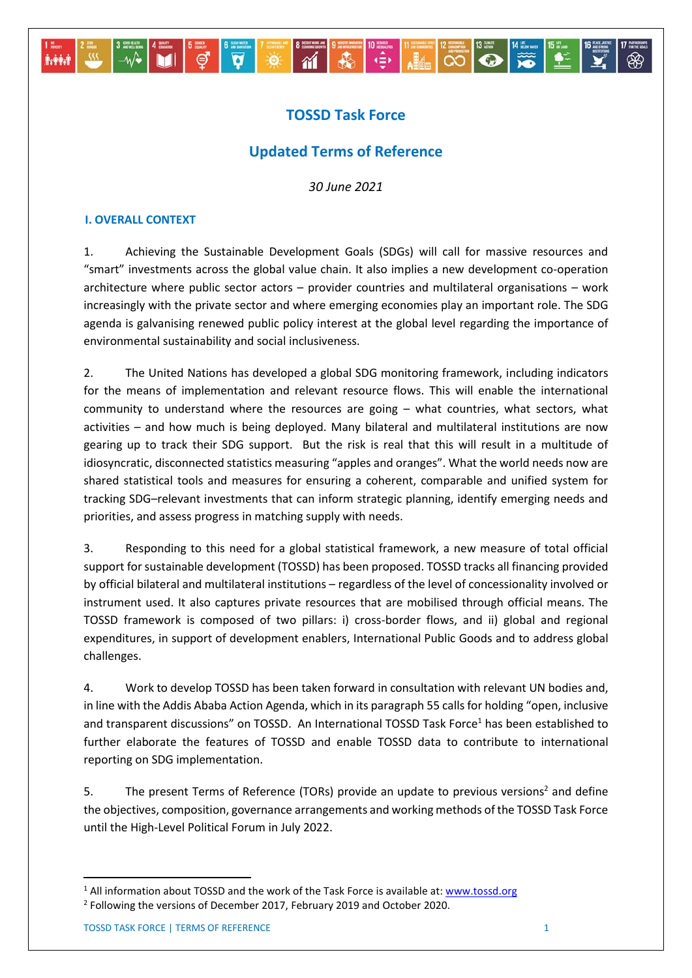# **TOSSD Task Force**

 $|\vec{v}|$ 

ේ

**M** 

**B** 

 $\begin{array}{|c|c|c|c|c|c|c|c|c|} \hline \text{sum} & \text{min} & \text{max} & \text{max} & \text{max} & \text{max} & \text{max} & \text{max} & \text{max} & \text{max} & \text{max} & \text{max} & \text{max} & \text{max} & \text{max} & \text{max} & \text{max} & \text{max} & \text{max} & \text{max} & \text{max} & \text{max} & \text{max} & \text{max} & \text{max} & \text{max} & \text{max} & \text{max} & \text{max} & \text{max} & \text{max} & \text{max} &$ 

# **Updated Terms of Reference**

*30 June 2021*

#### **I. OVERALL CONTEXT**

 $-\omega$ 

**Achit** 

1. Achieving the Sustainable Development Goals (SDGs) will call for massive resources and "smart" investments across the global value chain. It also implies a new development co-operation architecture where public sector actors – provider countries and multilateral organisations – work increasingly with the private sector and where emerging economies play an important role. The SDG agenda is galvanising renewed public policy interest at the global level regarding the importance of environmental sustainability and social inclusiveness.

2. The United Nations has developed a global SDG monitoring framework, including indicators for the means of implementation and relevant resource flows. This will enable the international community to understand where the resources are going – what countries, what sectors, what activities – and how much is being deployed. Many bilateral and multilateral institutions are now gearing up to track their SDG support. But the risk is real that this will result in a multitude of idiosyncratic, disconnected statistics measuring "apples and oranges". What the world needs now are shared statistical tools and measures for ensuring a coherent, comparable and unified system for tracking SDG–relevant investments that can inform strategic planning, identify emerging needs and priorities, and assess progress in matching supply with needs.

3. Responding to this need for a global statistical framework, a new measure of total official support for sustainable development (TOSSD) has been proposed. TOSSD tracks all financing provided by official bilateral and multilateral institutions – regardless of the level of concessionality involved or instrument used. It also captures private resources that are mobilised through official means. The TOSSD framework is composed of two pillars: i) cross-border flows, and ii) global and regional expenditures, in support of development enablers, International Public Goods and to address global challenges.

4. Work to develop TOSSD has been taken forward in consultation with relevant UN bodies and, in line with the Addis Ababa Action Agenda, which in its paragraph 55 calls for holding "open, inclusive and transparent discussions" on TOSSD. An International TOSSD Task Force<sup>1</sup> has been established to further elaborate the features of TOSSD and enable TOSSD data to contribute to international reporting on SDG implementation.

5. The present Terms of Reference (TORs) provide an update to previous versions<sup>2</sup> and define the objectives, composition, governance arrangements and working methods of the TOSSD Task Force until the High-Level Political Forum in July 2022.

1

<sup>&</sup>lt;sup>1</sup> All information about TOSSD and the work of the Task Force is available at: [www.tossd.org](http://www.tossd.org/) <sup>2</sup> Following the versions of December 2017, February 2019 and October 2020.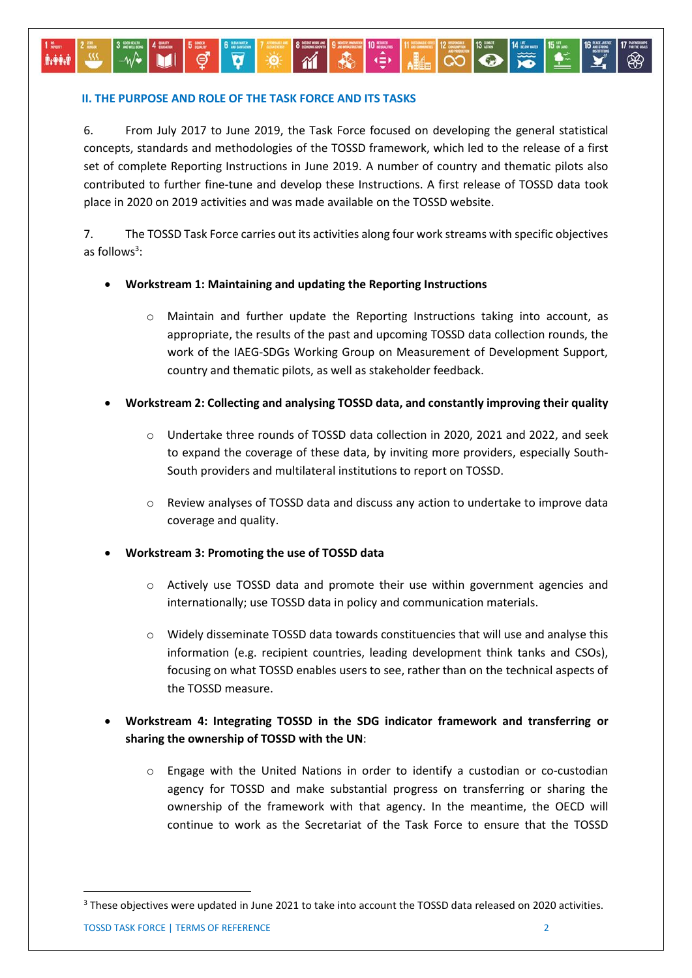#### **II. THE PURPOSE AND ROLE OF THE TASK FORCE AND ITS TASKS**

6. From July 2017 to June 2019, the Task Force focused on developing the general statistical concepts, standards and methodologies of the TOSSD framework, which led to the release of a first set of complete Reporting Instructions in June 2019. A number of country and thematic pilots also contributed to further fine-tune and develop these Instructions. A first release of TOSSD data took place in 2020 on 2019 activities and was made available on the TOSSD website.

 $\frac{1}{2}$ 

 $\alpha$ 

 $\bullet$ 

7. The TOSSD Task Force carries out its activities along four work streams with specific objectives as follows<sup>3</sup>:

### **Workstream 1: Maintaining and updating the Reporting Instructions**

- o Maintain and further update the Reporting Instructions taking into account, as appropriate, the results of the past and upcoming TOSSD data collection rounds, the work of the IAEG-SDGs Working Group on Measurement of Development Support, country and thematic pilots, as well as stakeholder feedback.
- **Workstream 2: Collecting and analysing TOSSD data, and constantly improving their quality**
	- o Undertake three rounds of TOSSD data collection in 2020, 2021 and 2022, and seek to expand the coverage of these data, by inviting more providers, especially South-South providers and multilateral institutions to report on TOSSD.
	- o Review analyses of TOSSD data and discuss any action to undertake to improve data coverage and quality.

## **Workstream 3: Promoting the use of TOSSD data**

- $\circ$  Actively use TOSSD data and promote their use within government agencies and internationally; use TOSSD data in policy and communication materials.
- o Widely disseminate TOSSD data towards constituencies that will use and analyse this information (e.g. recipient countries, leading development think tanks and CSOs), focusing on what TOSSD enables users to see, rather than on the technical aspects of the TOSSD measure.
- **Workstream 4: Integrating TOSSD in the SDG indicator framework and transferring or sharing the ownership of TOSSD with the UN**:
	- o Engage with the United Nations in order to identify a custodian or co-custodian agency for TOSSD and make substantial progress on transferring or sharing the ownership of the framework with that agency. In the meantime, the OECD will continue to work as the Secretariat of the Task Force to ensure that the TOSSD

**.** 

**Av Prive** 

<sup>&</sup>lt;sup>3</sup> These objectives were updated in June 2021 to take into account the TOSSD data released on 2020 activities.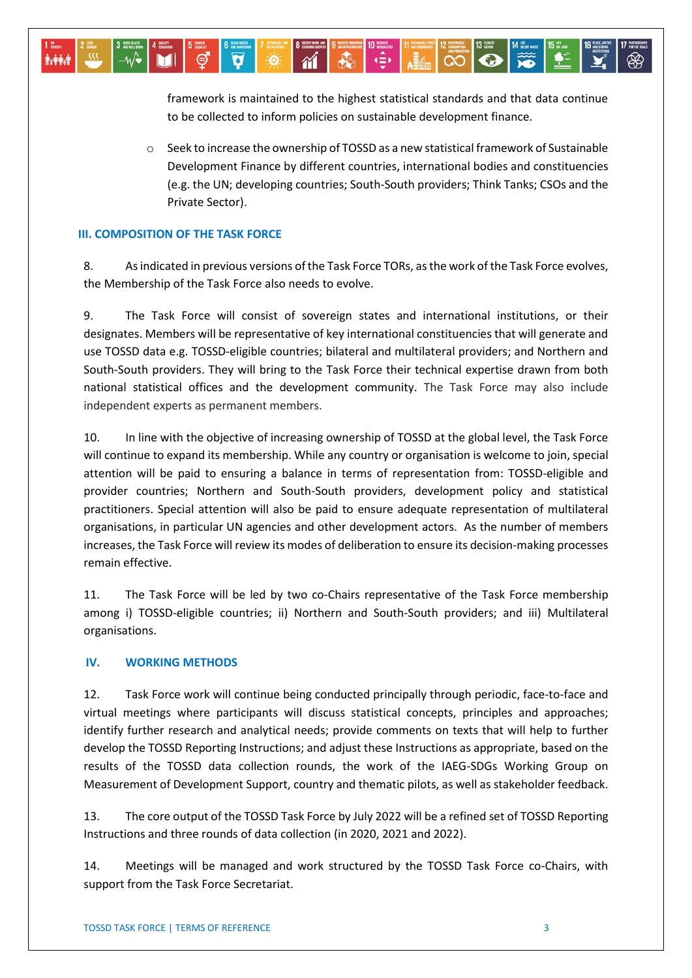framework is maintained to the highest statistical standards and that data continue to be collected to inform policies on sustainable development finance.

 $\overline{\mathbf{C}}$ 

 $\bullet$ 

o Seek to increase the ownership of TOSSD as a new statistical framework of Sustainable Development Finance by different countries, international bodies and constituencies (e.g. the UN; developing countries; South-South providers; Think Tanks; CSOs and the Private Sector).

#### **III. COMPOSITION OF THE TASK FORCE**

*MANA* 

8. As indicated in previous versions of the Task Force TORs, as the work of the Task Force evolves, the Membership of the Task Force also needs to evolve.

-Ò

9. The Task Force will consist of sovereign states and international institutions, or their designates. Members will be representative of key international constituencies that will generate and use TOSSD data e.g. TOSSD-eligible countries; bilateral and multilateral providers; and Northern and South-South providers. They will bring to the Task Force their technical expertise drawn from both national statistical offices and the development community. The Task Force may also include independent experts as permanent members.

10. In line with the objective of increasing ownership of TOSSD at the global level, the Task Force will continue to expand its membership. While any country or organisation is welcome to join, special attention will be paid to ensuring a balance in terms of representation from: TOSSD-eligible and provider countries; Northern and South-South providers, development policy and statistical practitioners. Special attention will also be paid to ensure adequate representation of multilateral organisations, in particular UN agencies and other development actors. As the number of members increases, the Task Force will review its modes of deliberation to ensure its decision-making processes remain effective.

11. The Task Force will be led by two co-Chairs representative of the Task Force membership among i) TOSSD-eligible countries; ii) Northern and South-South providers; and iii) Multilateral organisations.

#### **IV. WORKING METHODS**

12. Task Force work will continue being conducted principally through periodic, face-to-face and virtual meetings where participants will discuss statistical concepts, principles and approaches; identify further research and analytical needs; provide comments on texts that will help to further develop the TOSSD Reporting Instructions; and adjust these Instructions as appropriate, based on the results of the TOSSD data collection rounds, the work of the IAEG-SDGs Working Group on Measurement of Development Support, country and thematic pilots, as well as stakeholder feedback.

13. The core output of the TOSSD Task Force by July 2022 will be a refined set of TOSSD Reporting Instructions and three rounds of data collection (in 2020, 2021 and 2022).

14. Meetings will be managed and work structured by the TOSSD Task Force co-Chairs, with support from the Task Force Secretariat.